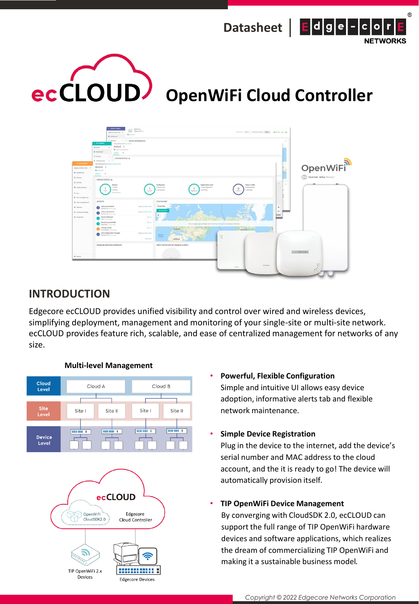





# **INTRODUCTION**

Edgecore ecCLOUD provides unified visibility and control over wired and wireless devices, simplifying deployment, management and monitoring of your single-site or multi-site network. ecCLOUD provides feature rich, scalable, and ease of centralized management for networks of any size.



**Edgecore Devices** 

# **Multi-level Management**

• **Powerful, Flexible Configuration** Simple and intuitive UI allows easy device adoption, informative alerts tab and flexible network maintenance.

# • **Simple Device Registration**

Plug in the device to the internet, add the device's serial number and MAC address to the cloud account, and the it is ready to go! The device will automatically provision itself.

# • **TIP OpenWiFi Device Management**

By converging with CloudSDK 2.0, ecCLOUD can support the full range of TIP OpenWiFi hardware devices and software applications, which realizes the dream of commercializing TIP OpenWiFi and making it a sustainable business model.